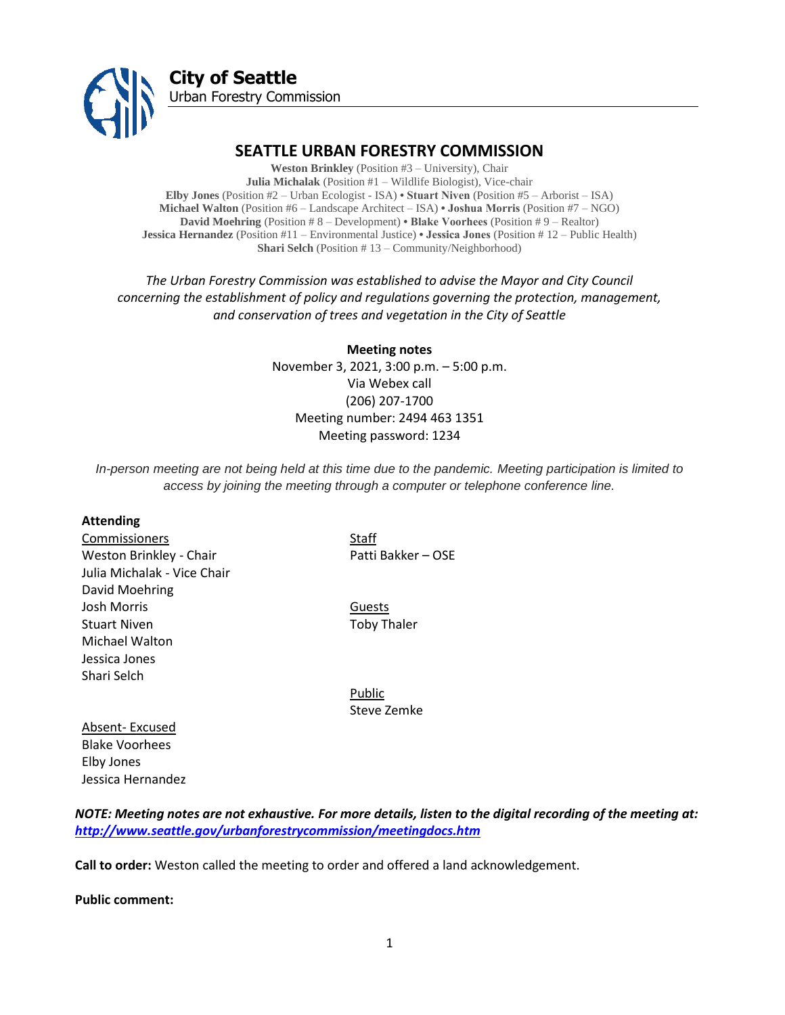

# **SEATTLE URBAN FORESTRY COMMISSION**

**Weston Brinkley** (Position #3 – University), Chair **Julia Michalak** (Position #1 – Wildlife Biologist), Vice-chair **Elby Jones** (Position #2 – Urban Ecologist - ISA) **• Stuart Niven** (Position #5 – Arborist – ISA) **Michael Walton** (Position #6 – Landscape Architect – ISA) **• Joshua Morris** (Position #7 – NGO) **David Moehring** (Position # 8 – Development) **• Blake Voorhees** (Position # 9 – Realtor) **Jessica Hernandez** (Position #11 – Environmental Justice) **• Jessica Jones** (Position # 12 – Public Health) **Shari Selch** (Position # 13 – Community/Neighborhood)

*The Urban Forestry Commission was established to advise the Mayor and City Council concerning the establishment of policy and regulations governing the protection, management, and conservation of trees and vegetation in the City of Seattle*

> **Meeting notes** November 3, 2021, 3:00 p.m. – 5:00 p.m. Via Webex call (206) 207-1700 Meeting number: 2494 463 1351 Meeting password: 1234

*In-person meeting are not being held at this time due to the pandemic. Meeting participation is limited to access by joining the meeting through a computer or telephone conference line.*

#### **Attending**

Commissioners Staff Weston Brinkley - Chair Patti Bakker – OSE Julia Michalak - Vice Chair David Moehring Josh Morris Guests Stuart Niven **Toby Thaler** Michael Walton Jessica Jones Shari Selch

Public Steve Zemke

Absent- Excused Blake Voorhees Elby Jones Jessica Hernandez

*NOTE: Meeting notes are not exhaustive. For more details, listen to the digital recording of the meeting at: <http://www.seattle.gov/urbanforestrycommission/meetingdocs.htm>*

**Call to order:** Weston called the meeting to order and offered a land acknowledgement.

**Public comment:**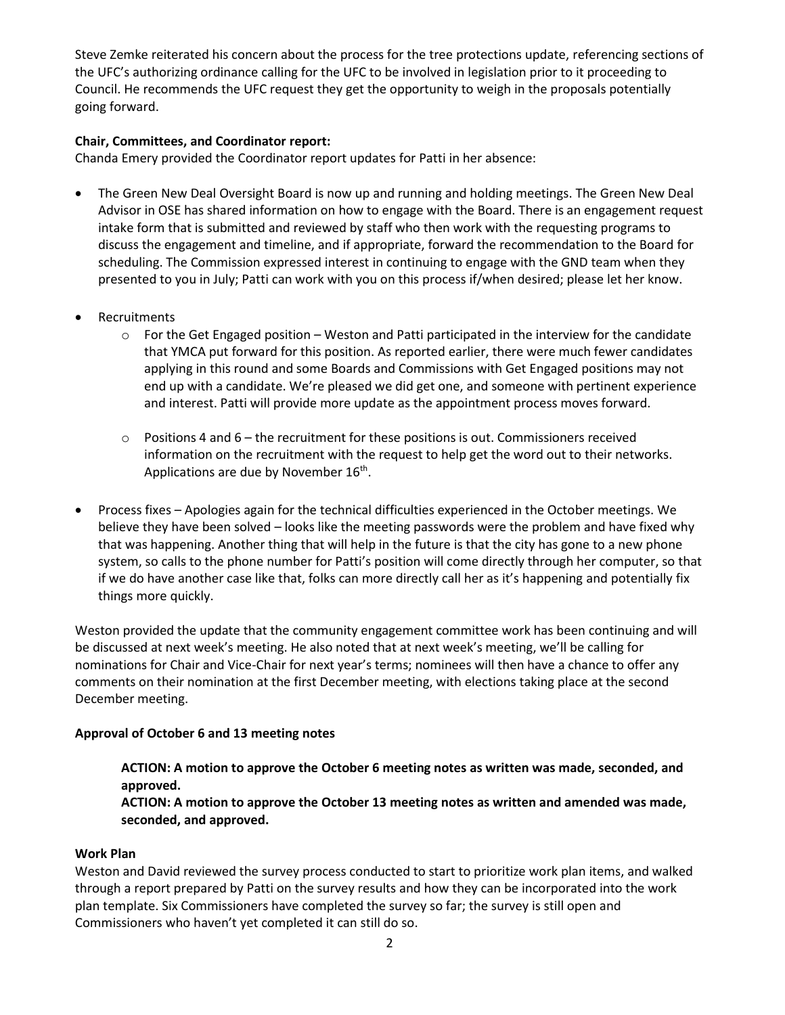Steve Zemke reiterated his concern about the process for the tree protections update, referencing sections of the UFC's authorizing ordinance calling for the UFC to be involved in legislation prior to it proceeding to Council. He recommends the UFC request they get the opportunity to weigh in the proposals potentially going forward.

### **Chair, Committees, and Coordinator report:**

Chanda Emery provided the Coordinator report updates for Patti in her absence:

- The Green New Deal Oversight Board is now up and running and holding meetings. The Green New Deal Advisor in OSE has shared information on how to engage with the Board. There is an engagement request intake form that is submitted and reviewed by staff who then work with the requesting programs to discuss the engagement and timeline, and if appropriate, forward the recommendation to the Board for scheduling. The Commission expressed interest in continuing to engage with the GND team when they presented to you in July; Patti can work with you on this process if/when desired; please let her know.
- Recruitments
	- $\circ$  For the Get Engaged position Weston and Patti participated in the interview for the candidate that YMCA put forward for this position. As reported earlier, there were much fewer candidates applying in this round and some Boards and Commissions with Get Engaged positions may not end up with a candidate. We're pleased we did get one, and someone with pertinent experience and interest. Patti will provide more update as the appointment process moves forward.
	- $\circ$  Positions 4 and  $6$  the recruitment for these positions is out. Commissioners received information on the recruitment with the request to help get the word out to their networks. Applications are due by November 16<sup>th</sup>.
- Process fixes Apologies again for the technical difficulties experienced in the October meetings. We believe they have been solved – looks like the meeting passwords were the problem and have fixed why that was happening. Another thing that will help in the future is that the city has gone to a new phone system, so calls to the phone number for Patti's position will come directly through her computer, so that if we do have another case like that, folks can more directly call her as it's happening and potentially fix things more quickly.

Weston provided the update that the community engagement committee work has been continuing and will be discussed at next week's meeting. He also noted that at next week's meeting, we'll be calling for nominations for Chair and Vice-Chair for next year's terms; nominees will then have a chance to offer any comments on their nomination at the first December meeting, with elections taking place at the second December meeting.

# **Approval of October 6 and 13 meeting notes**

**ACTION: A motion to approve the October 6 meeting notes as written was made, seconded, and approved.** 

**ACTION: A motion to approve the October 13 meeting notes as written and amended was made, seconded, and approved.** 

### **Work Plan**

Weston and David reviewed the survey process conducted to start to prioritize work plan items, and walked through a report prepared by Patti on the survey results and how they can be incorporated into the work plan template. Six Commissioners have completed the survey so far; the survey is still open and Commissioners who haven't yet completed it can still do so.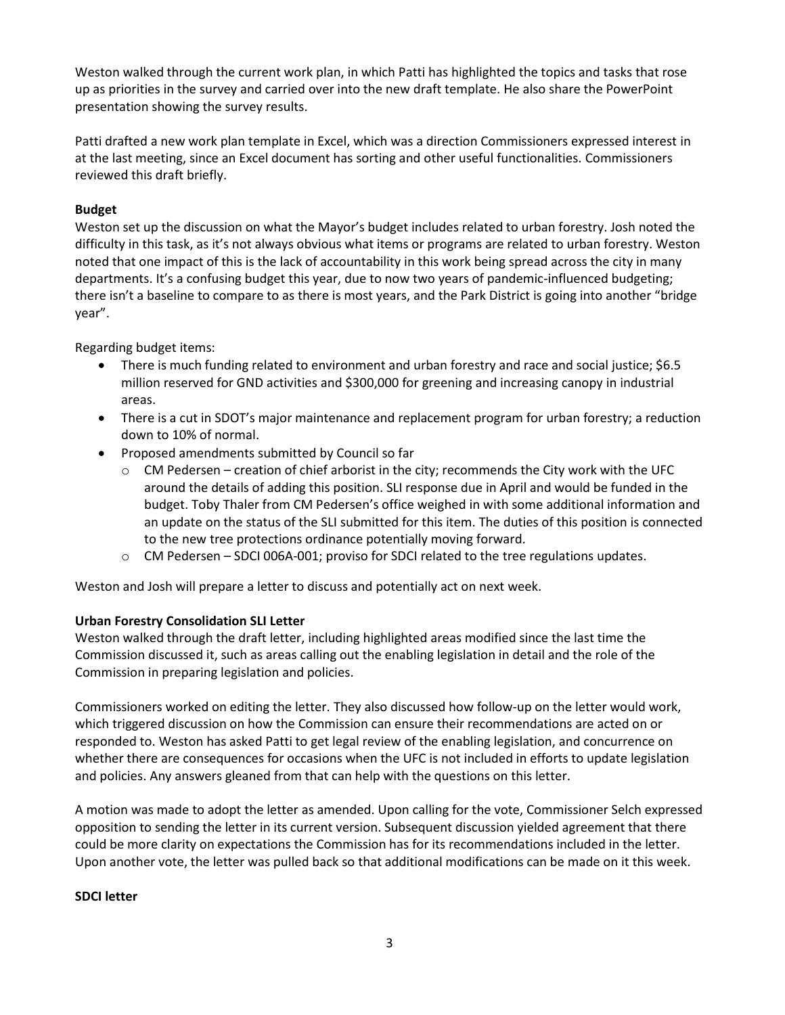Weston walked through the current work plan, in which Patti has highlighted the topics and tasks that rose up as priorities in the survey and carried over into the new draft template. He also share the PowerPoint presentation showing the survey results.

Patti drafted a new work plan template in Excel, which was a direction Commissioners expressed interest in at the last meeting, since an Excel document has sorting and other useful functionalities. Commissioners reviewed this draft briefly.

### **Budget**

Weston set up the discussion on what the Mayor's budget includes related to urban forestry. Josh noted the difficulty in this task, as it's not always obvious what items or programs are related to urban forestry. Weston noted that one impact of this is the lack of accountability in this work being spread across the city in many departments. It's a confusing budget this year, due to now two years of pandemic-influenced budgeting; there isn't a baseline to compare to as there is most years, and the Park District is going into another "bridge year".

Regarding budget items:

- There is much funding related to environment and urban forestry and race and social justice; \$6.5 million reserved for GND activities and \$300,000 for greening and increasing canopy in industrial areas.
- There is a cut in SDOT's major maintenance and replacement program for urban forestry; a reduction down to 10% of normal.
- Proposed amendments submitted by Council so far
	- $\circ$  CM Pedersen creation of chief arborist in the city; recommends the City work with the UFC around the details of adding this position. SLI response due in April and would be funded in the budget. Toby Thaler from CM Pedersen's office weighed in with some additional information and an update on the status of the SLI submitted for this item. The duties of this position is connected to the new tree protections ordinance potentially moving forward.
	- o CM Pedersen SDCI 006A-001; proviso for SDCI related to the tree regulations updates.

Weston and Josh will prepare a letter to discuss and potentially act on next week.

# **Urban Forestry Consolidation SLI Letter**

Weston walked through the draft letter, including highlighted areas modified since the last time the Commission discussed it, such as areas calling out the enabling legislation in detail and the role of the Commission in preparing legislation and policies.

Commissioners worked on editing the letter. They also discussed how follow-up on the letter would work, which triggered discussion on how the Commission can ensure their recommendations are acted on or responded to. Weston has asked Patti to get legal review of the enabling legislation, and concurrence on whether there are consequences for occasions when the UFC is not included in efforts to update legislation and policies. Any answers gleaned from that can help with the questions on this letter.

A motion was made to adopt the letter as amended. Upon calling for the vote, Commissioner Selch expressed opposition to sending the letter in its current version. Subsequent discussion yielded agreement that there could be more clarity on expectations the Commission has for its recommendations included in the letter. Upon another vote, the letter was pulled back so that additional modifications can be made on it this week.

### **SDCI letter**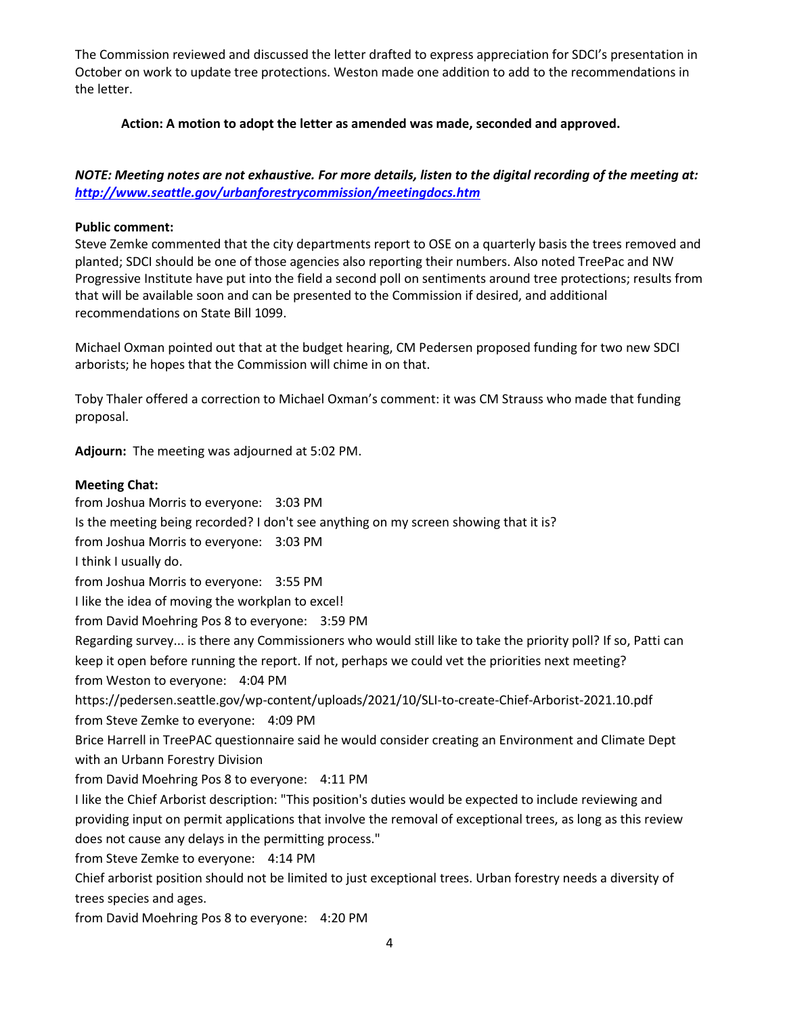The Commission reviewed and discussed the letter drafted to express appreciation for SDCI's presentation in October on work to update tree protections. Weston made one addition to add to the recommendations in the letter.

### **Action: A motion to adopt the letter as amended was made, seconded and approved.**

# *NOTE: Meeting notes are not exhaustive. For more details, listen to the digital recording of the meeting at: <http://www.seattle.gov/urbanforestrycommission/meetingdocs.htm>*

### **Public comment:**

Steve Zemke commented that the city departments report to OSE on a quarterly basis the trees removed and planted; SDCI should be one of those agencies also reporting their numbers. Also noted TreePac and NW Progressive Institute have put into the field a second poll on sentiments around tree protections; results from that will be available soon and can be presented to the Commission if desired, and additional recommendations on State Bill 1099.

Michael Oxman pointed out that at the budget hearing, CM Pedersen proposed funding for two new SDCI arborists; he hopes that the Commission will chime in on that.

Toby Thaler offered a correction to Michael Oxman's comment: it was CM Strauss who made that funding proposal.

**Adjourn:** The meeting was adjourned at 5:02 PM.

#### **Meeting Chat:**

from Joshua Morris to everyone: 3:03 PM Is the meeting being recorded? I don't see anything on my screen showing that it is? from Joshua Morris to everyone: 3:03 PM I think I usually do. from Joshua Morris to everyone: 3:55 PM I like the idea of moving the workplan to excel! from David Moehring Pos 8 to everyone: 3:59 PM Regarding survey... is there any Commissioners who would still like to take the priority poll? If so, Patti can keep it open before running the report. If not, perhaps we could vet the priorities next meeting? from Weston to everyone: 4:04 PM https://pedersen.seattle.gov/wp-content/uploads/2021/10/SLI-to-create-Chief-Arborist-2021.10.pdf from Steve Zemke to everyone: 4:09 PM Brice Harrell in TreePAC questionnaire said he would consider creating an Environment and Climate Dept with an Urbann Forestry Division from David Moehring Pos 8 to everyone: 4:11 PM I like the Chief Arborist description: "This position's duties would be expected to include reviewing and providing input on permit applications that involve the removal of exceptional trees, as long as this review does not cause any delays in the permitting process." from Steve Zemke to everyone: 4:14 PM Chief arborist position should not be limited to just exceptional trees. Urban forestry needs a diversity of trees species and ages. from David Moehring Pos 8 to everyone: 4:20 PM